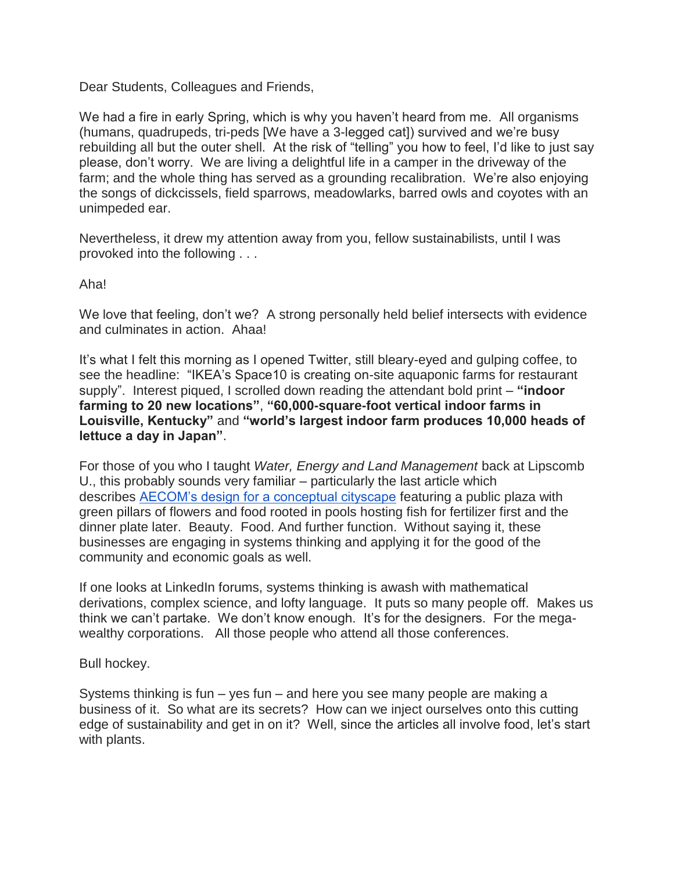Dear Students, Colleagues and Friends,

We had a fire in early Spring, which is why you haven't heard from me. All organisms (humans, quadrupeds, tri-peds [We have a 3-legged cat]) survived and we're busy rebuilding all but the outer shell. At the risk of "telling" you how to feel, I'd like to just say please, don't worry. We are living a delightful life in a camper in the driveway of the farm; and the whole thing has served as a grounding recalibration. We're also enjoying the songs of dickcissels, field sparrows, meadowlarks, barred owls and coyotes with an unimpeded ear.

Nevertheless, it drew my attention away from you, fellow sustainabilists, until I was provoked into the following . . .

Aha!

We love that feeling, don't we? A strong personally held belief intersects with evidence and culminates in action. Ahaa!

It's what I felt this morning as I opened Twitter, still bleary-eyed and gulping coffee, to see the headline: "IKEA's Space10 is creating on-site aquaponic farms for restaurant supply". Interest piqued, I scrolled down reading the attendant bold print – **"indoor farming to 20 new locations"**, **"60,000-square-foot vertical indoor farms in Louisville, Kentucky"** and **"world's largest indoor farm produces 10,000 heads of lettuce a day in Japan"**.

For those of you who I taught *Water, Energy and Land Management* back at Lipscomb U., this probably sounds very familiar – particularly the last article which describes [AECOM's design for a conceptual cityscape](http://inhabitat.com/urban-food-jungle-concept-incorporates-aquaponics-in-amazing-futuristic-design/) featuring a public plaza with green pillars of flowers and food rooted in pools hosting fish for fertilizer first and the dinner plate later. Beauty. Food. And further function. Without saying it, these businesses are engaging in systems thinking and applying it for the good of the community and economic goals as well.

If one looks at LinkedIn forums, systems thinking is awash with mathematical derivations, complex science, and lofty language. It puts so many people off. Makes us think we can't partake. We don't know enough. It's for the designers. For the megawealthy corporations. All those people who attend all those conferences.

Bull hockey.

Systems thinking is fun – yes fun – and here you see many people are making a business of it. So what are its secrets? How can we inject ourselves onto this cutting edge of sustainability and get in on it? Well, since the articles all involve food, let's start with plants.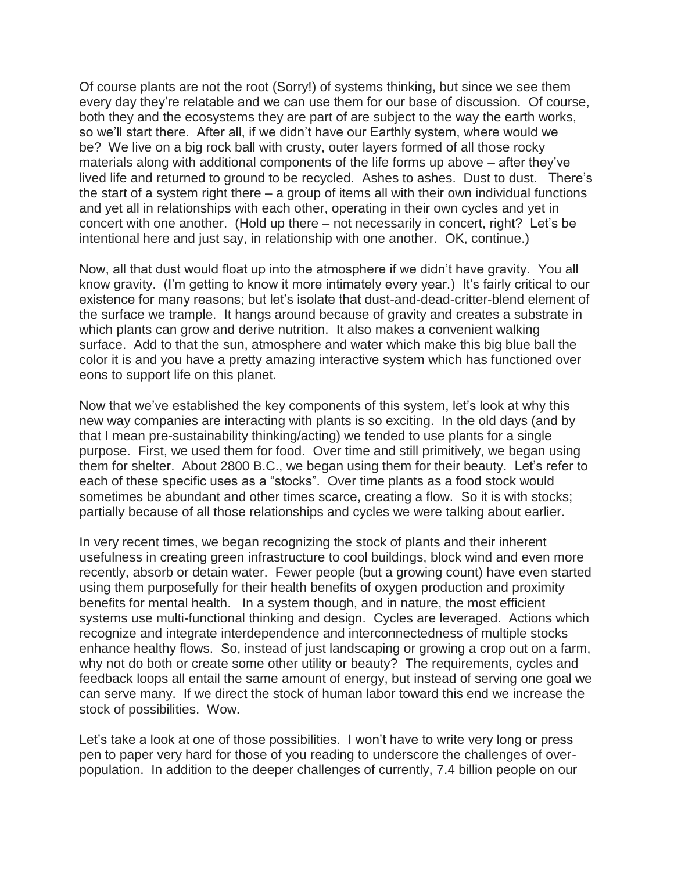Of course plants are not the root (Sorry!) of systems thinking, but since we see them every day they're relatable and we can use them for our base of discussion. Of course, both they and the ecosystems they are part of are subject to the way the earth works, so we'll start there. After all, if we didn't have our Earthly system, where would we be? We live on a big rock ball with crusty, outer layers formed of all those rocky materials along with additional components of the life forms up above – after they've lived life and returned to ground to be recycled. Ashes to ashes. Dust to dust. There's the start of a system right there – a group of items all with their own individual functions and yet all in relationships with each other, operating in their own cycles and yet in concert with one another. (Hold up there – not necessarily in concert, right? Let's be intentional here and just say, in relationship with one another. OK, continue.)

Now, all that dust would float up into the atmosphere if we didn't have gravity. You all know gravity. (I'm getting to know it more intimately every year.) It's fairly critical to our existence for many reasons; but let's isolate that dust-and-dead-critter-blend element of the surface we trample. It hangs around because of gravity and creates a substrate in which plants can grow and derive nutrition. It also makes a convenient walking surface. Add to that the sun, atmosphere and water which make this big blue ball the color it is and you have a pretty amazing interactive system which has functioned over eons to support life on this planet.

Now that we've established the key components of this system, let's look at why this new way companies are interacting with plants is so exciting. In the old days (and by that I mean pre-sustainability thinking/acting) we tended to use plants for a single purpose. First, we used them for food. Over time and still primitively, we began using them for shelter. About 2800 B.C., we began using them for their beauty. Let's refer to each of these specific uses as a "stocks". Over time plants as a food stock would sometimes be abundant and other times scarce, creating a flow. So it is with stocks; partially because of all those relationships and cycles we were talking about earlier.

In very recent times, we began recognizing the stock of plants and their inherent usefulness in creating green infrastructure to cool buildings, block wind and even more recently, absorb or detain water. Fewer people (but a growing count) have even started using them purposefully for their health benefits of oxygen production and proximity benefits for mental health. In a system though, and in nature, the most efficient systems use multi-functional thinking and design. Cycles are leveraged. Actions which recognize and integrate interdependence and interconnectedness of multiple stocks enhance healthy flows. So, instead of just landscaping or growing a crop out on a farm, why not do both or create some other utility or beauty? The requirements, cycles and feedback loops all entail the same amount of energy, but instead of serving one goal we can serve many. If we direct the stock of human labor toward this end we increase the stock of possibilities. Wow.

Let's take a look at one of those possibilities. I won't have to write very long or press pen to paper very hard for those of you reading to underscore the challenges of overpopulation. In addition to the deeper challenges of currently, 7.4 billion people on our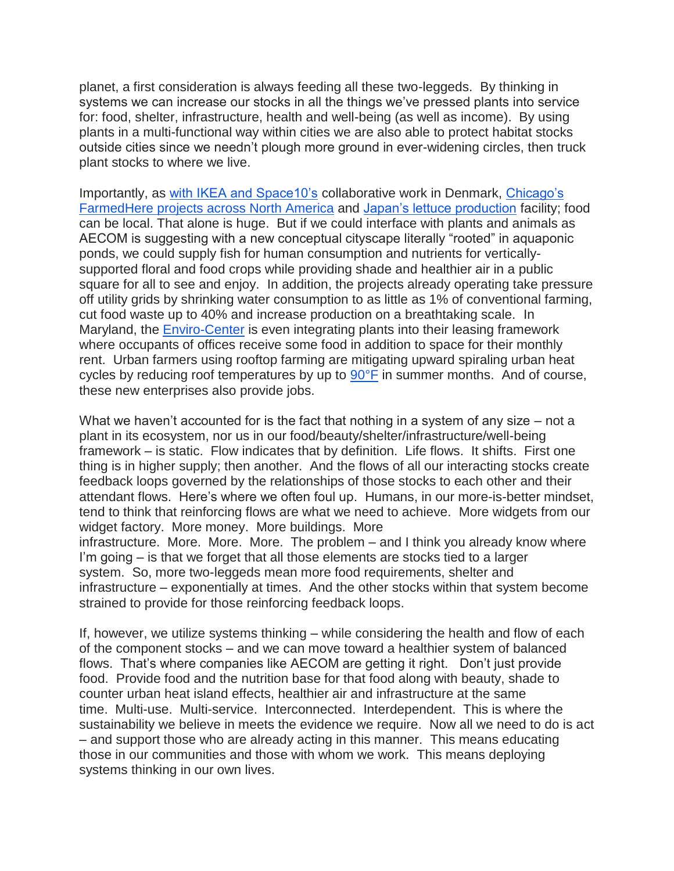planet, a first consideration is always feeding all these two-leggeds. By thinking in systems we can increase our stocks in all the things we've pressed plants into service for: food, shelter, infrastructure, health and well-being (as well as income). By using plants in a multi-functional way within cities we are also able to protect habitat stocks outside cities since we needn't plough more ground in ever-widening circles, then truck plant stocks to where we live.

Importantly, as [with IKEA and Space10's](http://inhabitat.com/ikeas-space10-is-creating-on-site-aquaponic-farms-for-restaurant-supply/) collaborative work in Denmark, [Chicago's](http://farmedhere.com/farmedhere-announces-plans-to-open-new-indoor-vertical-farm-in-louisville-kentucky/)  [FarmedHere projects across North America](http://farmedhere.com/farmedhere-announces-plans-to-open-new-indoor-vertical-farm-in-louisville-kentucky/) and [Japan's lettuce production](http://inhabitat.com/the-worlds-largest-indoor-farm-produces-10000-heads-of-lettuce-a-day-in-japan/) facility; food can be local. That alone is huge. But if we could interface with plants and animals as AECOM is suggesting with a new conceptual cityscape literally "rooted" in aquaponic ponds, we could supply fish for human consumption and nutrients for verticallysupported floral and food crops while providing shade and healthier air in a public square for all to see and enjoy. In addition, the projects already operating take pressure off utility grids by shrinking water consumption to as little as 1% of conventional farming, cut food waste up to 40% and increase production on a breathtaking scale. In Maryland, the [Enviro-Center](http://www.enviro-center.com/video.html) is even integrating plants into their leasing framework where occupants of offices receive some food in addition to space for their monthly rent. Urban farmers using rooftop farming are mitigating upward spiraling urban heat cycles by reducing roof temperatures by up to [90°F](https://www.epa.gov/heat-islands/using-green-roofs-reduce-heat-islands) in summer months. And of course, these new enterprises also provide jobs.

What we haven't accounted for is the fact that nothing in a system of any size – not a plant in its ecosystem, nor us in our food/beauty/shelter/infrastructure/well-being framework – is static. Flow indicates that by definition. Life flows. It shifts. First one thing is in higher supply; then another. And the flows of all our interacting stocks create feedback loops governed by the relationships of those stocks to each other and their attendant flows. Here's where we often foul up. Humans, in our more-is-better mindset, tend to think that reinforcing flows are what we need to achieve. More widgets from our widget factory. More money. More buildings. More infrastructure. More. More. More. The problem – and I think you already know where I'm going – is that we forget that all those elements are stocks tied to a larger

system. So, more two-leggeds mean more food requirements, shelter and infrastructure – exponentially at times. And the other stocks within that system become strained to provide for those reinforcing feedback loops.

If, however, we utilize systems thinking – while considering the health and flow of each of the component stocks – and we can move toward a healthier system of balanced flows. That's where companies like AECOM are getting it right. Don't just provide food. Provide food and the nutrition base for that food along with beauty, shade to counter urban heat island effects, healthier air and infrastructure at the same time. Multi-use. Multi-service. Interconnected. Interdependent. This is where the sustainability we believe in meets the evidence we require. Now all we need to do is act – and support those who are already acting in this manner. This means educating those in our communities and those with whom we work. This means deploying systems thinking in our own lives.